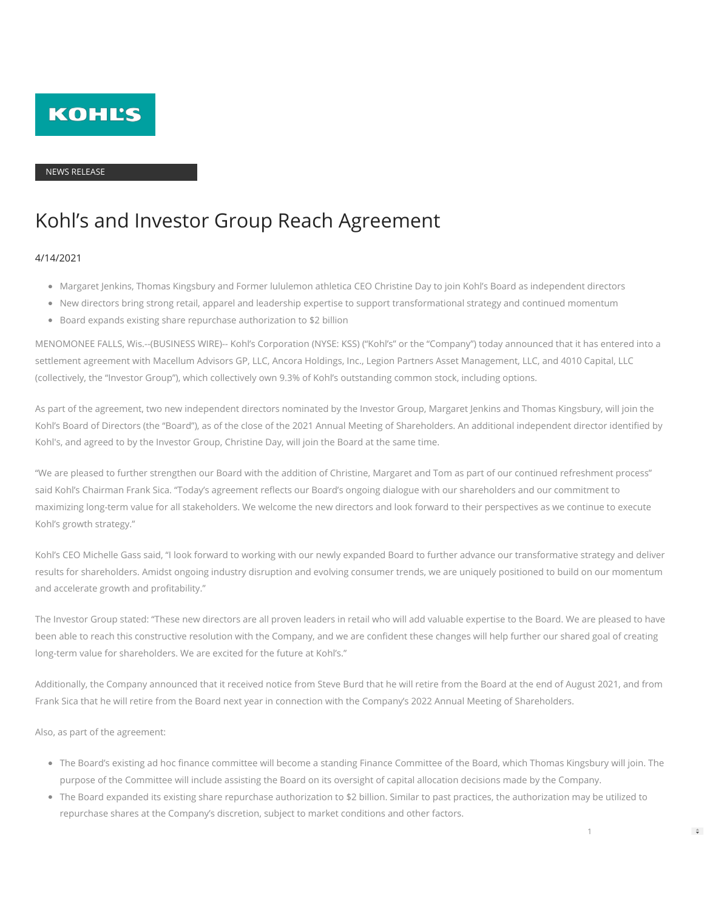

#### NEWS RELEASE

# Kohl's and Investor Group Reach Agreement

#### 4/14/2021

- Margaret Jenkins, Thomas Kingsbury and Former lululemon athletica CEO Christine Day to join Kohl's Board as independent directors
- New directors bring strong retail, apparel and leadership expertise to support transformational strategy and continued momentum
- Board expands existing share repurchase authorization to \$2 billion

MENOMONEE FALLS, Wis.--(BUSINESS WIRE)-- Kohl's Corporation (NYSE: KSS) ("Kohl's" or the "Company") today announced that it has entered into a settlement agreement with Macellum Advisors GP, LLC, Ancora Holdings, Inc., Legion Partners Asset Management, LLC, and 4010 Capital, LLC (collectively, the "Investor Group"), which collectively own 9.3% of Kohl's outstanding common stock, including options.

As part of the agreement, two new independent directors nominated by the Investor Group, Margaret Jenkins and Thomas Kingsbury, will join the Kohl's Board of Directors (the "Board"), as of the close of the 2021 Annual Meeting of Shareholders. An additional independent director identified by Kohl's, and agreed to by the Investor Group, Christine Day, will join the Board at the same time.

"We are pleased to further strengthen our Board with the addition of Christine, Margaret and Tom as part of our continued refreshment process" said Kohl's Chairman Frank Sica. "Today's agreement reflects our Board's ongoing dialogue with our shareholders and our commitment to maximizing long-term value for all stakeholders. We welcome the new directors and look forward to their perspectives as we continue to execute Kohl's growth strategy."

Kohl's CEO Michelle Gass said, "I look forward to working with our newly expanded Board to further advance our transformative strategy and deliver results for shareholders. Amidst ongoing industry disruption and evolving consumer trends, we are uniquely positioned to build on our momentum and accelerate growth and profitability."

The Investor Group stated: "These new directors are all proven leaders in retail who will add valuable expertise to the Board. We are pleased to have been able to reach this constructive resolution with the Company, and we are confident these changes will help further our shared goal of creating long-term value for shareholders. We are excited for the future at Kohl's."

Additionally, the Company announced that it received notice from Steve Burd that he will retire from the Board at the end of August 2021, and from Frank Sica that he will retire from the Board next year in connection with the Company's 2022 Annual Meeting of Shareholders.

Also, as part of the agreement:

- The Board's existing ad hoc finance committee will become a standing Finance Committee of the Board, which Thomas Kingsbury will join. The purpose of the Committee will include assisting the Board on its oversight of capital allocation decisions made by the Company.
- The Board expanded its existing share repurchase authorization to \$2 billion. Similar to past practices, the authorization may be utilized to repurchase shares at the Company's discretion, subject to market conditions and other factors.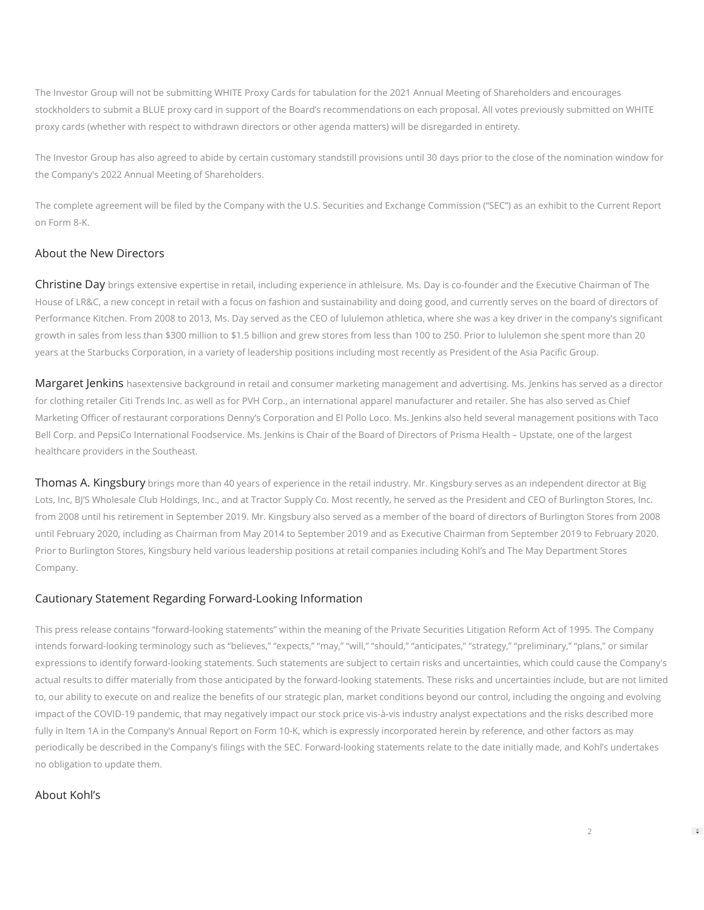The Investor Group will not be submitting WHITE Proxy Cards for tabulation for the 2021 Annual Meeting of Shareholders and encourages stockholders to submit a BLUE proxy card in support of the Board's recommendations on each proposal. All votes previously submitted on WHITE proxy cards (whether with respect to withdrawn directors or other agenda matters) will be disregarded in entirety.

The Investor Group has also agreed to abide by certain customary standstill provisions until 30 days prior to the close of the nomination window for the Company's 2022 Annual Meeting of Shareholders.

The complete agreement will be filed by the Company with the U.S. Securities and Exchange Commission ("SEC") as an exhibit to the Current Report on Form 8-K.

## About the New Directors

Christine Day brings extensive expertise in retail, including experience in athleisure. Ms. Day is co-founder and the Executive Chairman of The House of LR&C, a new concept in retail with a focus on fashion and sustainability and doing good, and currently serves on the board of directors of Performance Kitchen. From 2008 to 2013, Ms. Day served as the CEO of lululemon athletica, where she was a key driver in the company's significant growth in sales from less than \$300 million to \$1.5 billion and grew stores from less than 100 to 250. Prior to lululemon she spent more than 20 years at the Starbucks Corporation, in a variety of leadership positions including most recently as President of the Asia Pacific Group.

Margaret Jenkins hasextensive background in retail and consumer marketing management and advertising. Ms. Jenkins has served as a director for clothing retailer Citi Trends Inc. as well as for PVH Corp., an international apparel manufacturer and retailer. She has also served as Chief Marketing Officer of restaurant corporations Denny's Corporation and El Pollo Loco. Ms. Jenkins also held several management positions with Taco Bell Corp. and PepsiCo International Foodservice. Ms. Jenkins is Chair of the Board of Directors of Prisma Health – Upstate, one of the largest healthcare providers in the Southeast.

Thomas A. Kingsbury brings more than 40 years of experience in the retail industry. Mr. Kingsbury serves as an independent director at Big Lots, Inc, BJ'S Wholesale Club Holdings, Inc., and at Tractor Supply Co. Most recently, he served as the President and CEO of Burlington Stores, Inc. from 2008 until his retirement in September 2019. Mr. Kingsbury also served as a member of the board of directors of Burlington Stores from 2008 until February 2020, including as Chairman from May 2014 to September 2019 and as Executive Chairman from September 2019 to February 2020. Prior to Burlington Stores, Kingsbury held various leadership positions at retail companies including Kohl's and The May Department Stores Company.

### Cautionary Statement Regarding Forward-Looking Information

This press release contains "forward-looking statements" within the meaning of the Private Securities Litigation Reform Act of 1995. The Company intends forward-looking terminology such as "believes," "expects," "may," "will," "should," "anticipates," "strategy," "preliminary," "plans," or similar expressions to identify forward-looking statements. Such statements are subject to certain risks and uncertainties, which could cause the Company's actual results to differ materially from those anticipated by the forward-looking statements. These risks and uncertainties include, but are not limited to, our ability to execute on and realize the benefits of our strategic plan, market conditions beyond our control, including the ongoing and evolving impact of the COVID-19 pandemic, that may negatively impact our stock price vis-à-vis industry analyst expectations and the risks described more fully in Item 1A in the Company's Annual Report on Form 10-K, which is expressly incorporated herein by reference, and other factors as may periodically be described in the Company's filings with the SEC. Forward-looking statements relate to the date initially made, and Kohl's undertakes no obligation to update them.

## About Kohl's